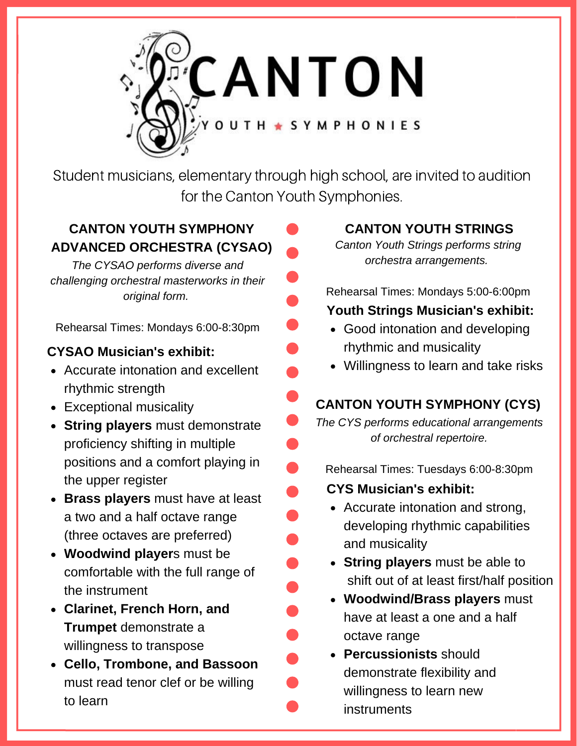

Student musicians, elementary through high school, are invited to audition for the Canton Youth Symphonies.

## **CANTON YOUTH SYMPHONY ADVANCED ORCHESTRA (CYSAO)**

*The CYSAO performs diverse and challenging orchestral masterworks in their original form.* 

Rehearsal Times: Mondays 6:00-8:30pm

## **CYSAO Musician's exhibit:**

- Accurate intonation and excellent rhythmic strength
- Exceptional musicality
- **String players** must demonstrate proficiency shifting in multiple positions and a comfort playing in the upper register
- **Brass players** must have at least a two and a half octave range (three octaves are preferred)
- **Woodwind player**s must be comfortable with the full range of the instrument
- **Clarinet, French Horn, and Trumpet** demonstrate a willingness to transpose
- **Cello, Trombone, and Bassoon** must read tenor clef or be willing to learn

## **CANTON YOUTH STRINGS**

*Canton Youth Strings performs string orchestra arrangements.*

Rehearsal Times: Mondays 5:00-6:00pm **Youth Strings Musician's exhibit:**

- Good intonation and developing rhythmic and musicality
- Willingness to learn and take risks

## **CANTON YOUTH SYMPHONY (CYS)**

*The CYS performs educational arrangements of orchestral repertoire.*

- Rehearsal Times: Tuesdays 6:00-8:30pm
- **CYS Musician's exhibit:**
	- Accurate intonation and strong, developing rhythmic capabilities and musicality
	- **String players** must be able to shift out of at least first/half position
	- **Woodwind/Brass players** must have at least a one and a half octave range
- **Percussionists** should demonstrate flexibility and willingness to learn new instruments